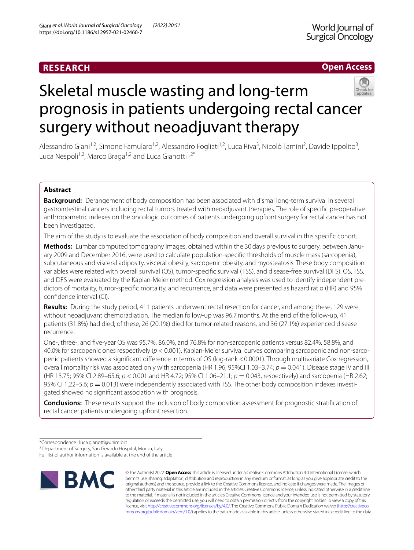# **RESEARCH**

# **Open Access**



# Skeletal muscle wasting and long-term prognosis in patients undergoing rectal cancer surgery without neoadjuvant therapy

Alessandro Giani<sup>1,2</sup>, Simone Famularo<sup>1,2</sup>, Alessandro Fogliati<sup>1,2</sup>, Luca Riva<sup>3</sup>, Nicolò Tamini<sup>2</sup>, Davide Ippolito<sup>3</sup>, Luca Nespoli<sup>1,2</sup>, Marco Braga<sup>1,2</sup> and Luca Gianotti<sup>1,2\*</sup>

## **Abstract**

**Background:** Derangement of body composition has been associated with dismal long-term survival in several gastrointestinal cancers including rectal tumors treated with neoadjuvant therapies. The role of specifc preoperative anthropometric indexes on the oncologic outcomes of patients undergoing upfront surgery for rectal cancer has not been investigated.

The aim of the study is to evaluate the association of body composition and overall survival in this specifc cohort.

**Methods:** Lumbar computed tomography images, obtained within the 30days previous to surgery, between January 2009 and December 2016, were used to calculate population-specifc thresholds of muscle mass (sarcopenia), subcutaneous and visceral adiposity, visceral obesity, sarcopenic obesity, and myosteatosis. These body composition variables were related with overall survival (OS), tumor-specifc survival (TSS), and disease-free survival (DFS). OS, TSS, and DFS were evaluated by the Kaplan-Meier method. Cox regression analysis was used to identify independent predictors of mortality, tumor-specifc mortality, and recurrence, and data were presented as hazard ratio (HR) and 95% confdence interval (CI).

**Results:** During the study period, 411 patients underwent rectal resection for cancer, and among these, 129 were without neoadjuvant chemoradiation. The median follow-up was 96.7months. At the end of the follow-up, 41 patients (31.8%) had died; of these, 26 (20.1%) died for tumor-related reasons, and 36 (27.1%) experienced disease recurrence.

One-, three-, and fve-year OS was 95.7%, 86.0%, and 76.8% for non-sarcopenic patients versus 82.4%, 58.8%, and 40.0% for sarcopenic ones respectively (*p* < 0.001). Kaplan-Meier survival curves comparing sarcopenic and non-sarcopenic patients showed a signifcant diference in terms of OS (log-rank <0.0001). Through multivariate Cox regression, overall mortality risk was associated only with sarcopenia (HR 1.96; 95%CI 1.03–3.74; *p* = 0.041). Disease stage IV and III (HR 13.75; 95% CI 2.89–65.6; *p* < 0.001 and HR 4.72; 95% CI 1.06–21.1; *p* = 0.043, respectively) and sarcopenia (HR 2.62; 95% CI 1.22–5.6;  $p = 0.013$ ) were independently associated with TSS. The other body composition indexes investigated showed no signifcant association with prognosis.

**Conclusions:** These results support the inclusion of body composition assessment for prognostic stratifcation of rectal cancer patients undergoing upfront resection.

Full list of author information is available at the end of the article



© The Author(s) 2022. **Open Access** This article is licensed under a Creative Commons Attribution 4.0 International License, which permits use, sharing, adaptation, distribution and reproduction in any medium or format, as long as you give appropriate credit to the original author(s) and the source, provide a link to the Creative Commons licence, and indicate if changes were made. The images or other third party material in this article are included in the article's Creative Commons licence, unless indicated otherwise in a credit line to the material. If material is not included in the article's Creative Commons licence and your intended use is not permitted by statutory regulation or exceeds the permitted use, you will need to obtain permission directly from the copyright holder. To view a copy of this licence, visit [http://creativecommons.org/licenses/by/4.0/.](http://creativecommons.org/licenses/by/4.0/) The Creative Commons Public Domain Dedication waiver ([http://creativeco](http://creativecommons.org/publicdomain/zero/1.0/) [mmons.org/publicdomain/zero/1.0/](http://creativecommons.org/publicdomain/zero/1.0/)) applies to the data made available in this article, unless otherwise stated in a credit line to the data.

<sup>\*</sup>Correspondence: luca.gianotti@unimib.it

<sup>&</sup>lt;sup>2</sup> Department of Surgery, San Gerardo Hospital, Monza, Italy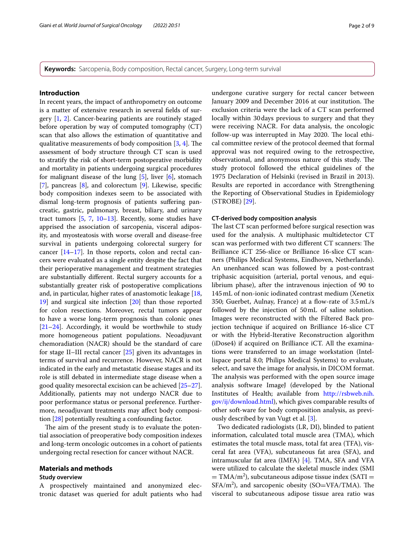**Keywords:** Sarcopenia, Body composition, Rectal cancer, Surgery, Long-term survival

## **Introduction**

In recent years, the impact of anthropometry on outcome is a matter of extensive research in several felds of surgery [\[1,](#page-6-0) [2\]](#page-6-1). Cancer-bearing patients are routinely staged before operation by way of computed tomography (CT) scan that also allows the estimation of quantitative and qualitative measurements of body composition  $[3, 4]$  $[3, 4]$  $[3, 4]$  $[3, 4]$ . The assessment of body structure through CT scan is used to stratify the risk of short-term postoperative morbidity and mortality in patients undergoing surgical procedures for malignant disease of the lung  $[5]$  $[5]$ , liver  $[6]$ , stomach [[7\]](#page-7-0), pancreas [\[8](#page-7-1)], and colorectum [\[9](#page-7-2)]. Likewise, specifc body composition indexes seem to be associated with dismal long-term prognosis of patients sufering pancreatic, gastric, pulmonary, breast, biliary, and urinary tract tumors [\[5](#page-6-4), [7](#page-7-0), [10](#page-7-3)[–13](#page-7-4)]. Recently, some studies have apprised the association of sarcopenia, visceral adiposity, and myosteatosis with worse overall and disease-free survival in patients undergoing colorectal surgery for cancer [[14](#page-7-5)[–17](#page-7-6)]. In those reports, colon and rectal cancers were evaluated as a single entity despite the fact that their perioperative management and treatment strategies are substantially diferent. Rectal surgery accounts for a substantially greater risk of postoperative complications and, in particular, higher rates of anastomotic leakage [[18](#page-7-7), [19](#page-7-8)] and surgical site infection [[20](#page-7-9)] than those reported for colon resections. Moreover, rectal tumors appear to have a worse long-term prognosis than colonic ones [[21](#page-7-10)[–24](#page-7-11)]. Accordingly, it would be worthwhile to study more homogeneous patient populations. Neoadjuvant chemoradiation (NACR) should be the standard of care for stage II–III rectal cancer [\[25](#page-7-12)] given its advantages in terms of survival and recurrence. However, NACR is not indicated in the early and metastatic disease stages and its role is still debated in intermediate stage disease when a good quality mesorectal excision can be achieved [[25](#page-7-12)[–27](#page-7-13)]. Additionally, patients may not undergo NACR due to poor performance status or personal preference. Furthermore, neoadjuvant treatments may afect body composition [\[28](#page-7-14)] potentially resulting a confounding factor.

The aim of the present study is to evaluate the potential association of preoperative body composition indexes and long-term oncologic outcomes in a cohort of patients undergoing rectal resection for cancer without NACR.

#### **Materials and methods**

## **Study overview**

A prospectively maintained and anonymized electronic dataset was queried for adult patients who had undergone curative surgery for rectal cancer between January 2009 and December 2016 at our institution. The exclusion criteria were the lack of a CT scan performed locally within 30days previous to surgery and that they were receiving NACR. For data analysis, the oncologic follow-up was interrupted in May 2020. The local ethical committee review of the protocol deemed that formal approval was not required owing to the retrospective, observational, and anonymous nature of this study. The study protocol followed the ethical guidelines of the 1975 Declaration of Helsinki (revised in Brazil in 2013). Results are reported in accordance with Strengthening the Reporting of Observational Studies in Epidemiology (STROBE) [\[29](#page-7-15)].

#### **CT‑derived body composition analysis**

The last CT scan performed before surgical resection was used for the analysis. A multiphasic multidetector CT scan was performed with two different CT scanners: The Brilliance iCT 256-slice or Brilliance 16-slice CT scanners (Philips Medical Systems, Eindhoven, Netherlands). An unenhanced scan was followed by a post-contrast triphasic acquisition (arterial, portal venous, and equilibrium phase), after the intravenous injection of 90 to 145mL of non-ionic iodinated contrast medium (Xenetix 350; Guerbet, Aulnay, France) at a flow-rate of  $3.5 \text{ mL/s}$ followed by the injection of 50mL of saline solution. Images were reconstructed with the Filtered Back projection technique if acquired on Brilliance 16-slice CT or with the Hybrid-Iterative Reconstruction algorithm (iDose4) if acquired on Brilliance iCT. All the examinations were transferred to an image workstation (Intellispace portal 8.0; Philips Medical Systems) to evaluate, select, and save the image for analysis, in DICOM format. The analysis was performed with the open source image analysis software ImageJ (developed by the National Institutes of Health; available from [http://rsbweb.nih.](http://rsbweb.nih.gov/ij/download.html) [gov/ij/download.html](http://rsbweb.nih.gov/ij/download.html)), which gives comparable results of other soft-ware for body composition analysis, as previously described by van Vugt et al. [[3\]](#page-6-2).

Two dedicated radiologists (LR, DI), blinded to patient information, calculated total muscle area (TMA), which estimates the total muscle mass, total fat area (TFA), visceral fat area (VFA), subcutaneous fat area (SFA), and intramuscular fat area (IMFA) [\[4\]](#page-6-3). TMA, SFA and VFA were utilized to calculate the skeletal muscle index (SMI  $=$  TMA/m<sup>2</sup>), subcutaneous adipose tissue index (SATI =  $SFA/m<sup>2</sup>$ ), and sarcopenic obesity (SO=VFA/TMA). The visceral to subcutaneous adipose tissue area ratio was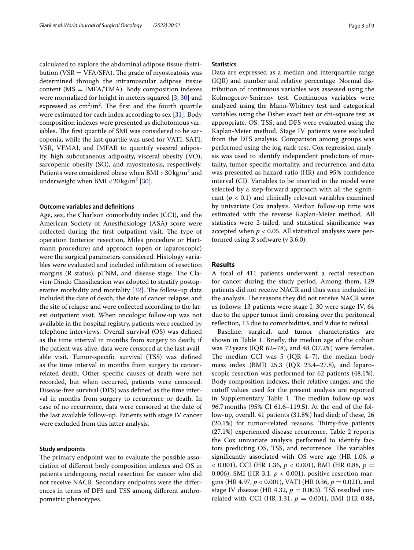calculated to explore the abdominal adipose tissue distribution (VSR  $=$  VFA/SFA). The grade of myosteatosis was determined through the intramuscular adipose tissue content  $(MS = IMFA/TMA)$ . Body composition indexes were normalized for height in meters squared [\[3,](#page-6-2) [30\]](#page-7-16) and expressed as  $\text{cm}^2/\text{m}^2$ . The first and the fourth quartile were estimated for each index according to sex [[31\]](#page-7-17). Body composition indexes were presented as dichotomous variables. The first quartile of SMI was considered to be sarcopenia, while the last quartile was used for VATI, SATI, VSR, VFMAI, and IMFAR to quantify visceral adiposity, high subcutaneous adiposity, visceral obesity (VO), sarcopenic obesity (SO), and myosteatosis, respectively. Patients were considered obese when BMI >  $30\,\mathrm{kg/m^2}$  and underweight when  $\text{BMI} < 20 \,\text{kg/m}^2 \,\text{[30]}.$  $\text{BMI} < 20 \,\text{kg/m}^2 \,\text{[30]}.$  $\text{BMI} < 20 \,\text{kg/m}^2 \,\text{[30]}.$ 

#### **Outcome variables and defnitions**

Age, sex, the Charlson comorbidity index (CCI), and the American Society of Anesthesiology (ASA) score were collected during the first outpatient visit. The type of operation (anterior resection, Miles procedure or Hartmann procedure) and approach (open or laparoscopic) were the surgical parameters considered. Histology variables were evaluated and included infltration of resection margins ( $R$  status),  $pTNM$ , and disease stage. The Clavien-Dindo Classifcation was adopted to stratify postoperative morbidity and mortality  $[32]$  $[32]$ . The follow-up data included the date of death, the date of cancer relapse, and the site of relapse and were collected according to the latest outpatient visit. When oncologic follow-up was not available in the hospital registry, patients were reached by telephone interviews. Overall survival (OS) was defned as the time interval in months from surgery to death; if the patient was alive, data were censored at the last available visit. Tumor-specifc survival (TSS) was defned as the time interval in months from surgery to cancerrelated death. Other specifc causes of death were not recorded, but when occurred, patients were censored. Disease-free survival (DFS) was defned as the time interval in months from surgery to recurrence or death. In case of no recurrence, data were censored at the date of the last available follow-up. Patients with stage IV cancer were excluded from this latter analysis.

## **Study endpoints**

The primary endpoint was to evaluate the possible association of diferent body composition indexes and OS in patients undergoing rectal resection for cancer who did not receive NACR. Secondary endpoints were the diferences in terms of DFS and TSS among diferent anthropometric phenotypes.

## **Statistics**

Data are expressed as a median and interquartile range (IQR) and number and relative percentage. Normal distribution of continuous variables was assessed using the Kolmogorov-Smirnov test. Continuous variables were analyzed using the Mann-Whitney test and categorical variables using the Fisher exact test or chi-square test as appropriate. OS, TSS, and DFS were evaluated using the Kaplan-Meier method. Stage IV patients were excluded from the DFS analysis. Comparison among groups was performed using the log-rank test. Cox regression analysis was used to identify independent predictors of mortality, tumor-specifc mortality, and recurrence, and data was presented as hazard ratio (HR) and 95% confdence interval (CI). Variables to be inserted in the model were selected by a step-forward approach with all the signifcant  $(p < 0.1)$  and clinically relevant variables examined by univariate Cox analysis. Median follow-up time was estimated with the reverse Kaplan-Meier method. All statistics were 2-tailed, and statistical signifcance was accepted when  $p < 0.05$ . All statistical analyses were performed using R software (v 3.6.0).

## **Results**

A total of 411 patients underwent a rectal resection for cancer during the study period. Among them, 129 patients did not receive NACR and thus were included in the analysis. The reasons they did not receive NACR were as follows: 13 patients were stage I, 30 were stage IV, 64 due to the upper tumor limit crossing over the peritoneal reflection, 13 due to comorbidities, and 9 due to refusal.

Baseline, surgical, and tumor characteristics are shown in Table [1](#page-3-0). Briefly, the median age of the cohort was 72years (IQR 62–78), and 48 (37.2%) were females. The median CCI was  $5$  (IQR 4-7), the median body mass index (BMI) 25.3 (IQR 23.4–27.8), and laparoscopic resection was performed for 62 patients (48.1%). Body composition indexes, their relative ranges, and the cutoff values used for the present analysis are reported in Supplementary Table [1](#page-6-6). The median follow-up was 96.7months (95% CI 61.6–119.5). At the end of the follow-up, overall, 41 patients (31.8%) had died; of these, 26  $(20.1\%)$  for tumor-related reasons. Thirty-five patients (27.1%) experienced disease recurrence. Table [2](#page-4-0) reports the Cox univariate analysis performed to identify factors predicting OS, TSS, and recurrence. The variables signifcantly associated with OS were age (HR 1.06, *p*  $<$  0.001), CCI (HR 1.36,  $p <$  0.001), BMI (HR 0.88,  $p =$ 0.006), SMI (HR 3.1, *p* < 0.001), positive resection margins (HR 4.97, *p* < 0.001), VATI (HR 0.36, *p* = 0.021), and stage IV disease (HR 4.32,  $p = 0.003$ ). TSS resulted correlated with CCI (HR 1.31, *p* = 0.001), BMI (HR 0.88,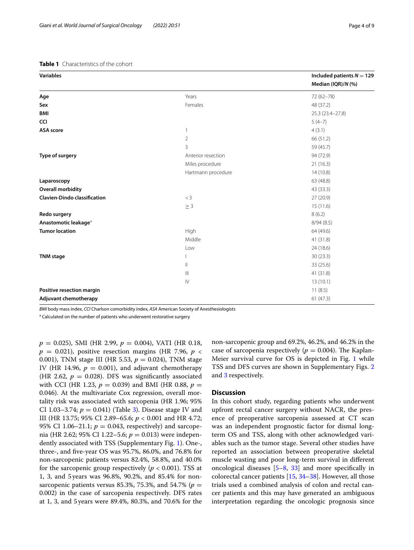## <span id="page-3-0"></span>**Table 1** Characteristics of the cohort

| Years<br>$72(62 - 78)$<br>Age<br>Females<br>Sex<br>48 (37.2)<br><b>BMI</b><br>25.3 (23.4-27.8)<br><b>CCI</b><br>$5(4-7)$<br><b>ASA</b> score<br>4(3.1)<br>1<br>$\overline{2}$<br>66 (51.2)<br>3<br>59 (45.7)<br>Type of surgery<br>94 (72.9)<br>Anterior resection<br>Miles procedure<br>21(16.3)<br>Hartmann procedure<br>14(10.8)<br>63 (48.8)<br>Laparoscopy<br><b>Overall morbidity</b><br>43 (33.3)<br><b>Clavien-Dindo classification</b><br>$<$ 3<br>27 (20.9)<br>15(11.6)<br>$\geq$ 3<br>Redo surgery<br>8(6.2)<br>Anastomotic leakage <sup>a</sup><br>8/94(8.5)<br><b>Tumor location</b><br>High<br>64 (49.6)<br>Middle<br>41 (31.8)<br>24 (18.6)<br>Low<br><b>TNM</b> stage<br>30(23.3)<br>33 (25.6)<br>Ш<br>$\mathbb{H}$<br>41 (31.8)<br>$\mathsf{IV}$<br>13(10.1)<br>Positive resection margin<br>11(8.5) | <b>Variables</b>      | Included patients $N = 129$<br>Median (IQR)/N (%) |
|-----------------------------------------------------------------------------------------------------------------------------------------------------------------------------------------------------------------------------------------------------------------------------------------------------------------------------------------------------------------------------------------------------------------------------------------------------------------------------------------------------------------------------------------------------------------------------------------------------------------------------------------------------------------------------------------------------------------------------------------------------------------------------------------------------------------------|-----------------------|---------------------------------------------------|
|                                                                                                                                                                                                                                                                                                                                                                                                                                                                                                                                                                                                                                                                                                                                                                                                                       |                       |                                                   |
|                                                                                                                                                                                                                                                                                                                                                                                                                                                                                                                                                                                                                                                                                                                                                                                                                       |                       |                                                   |
|                                                                                                                                                                                                                                                                                                                                                                                                                                                                                                                                                                                                                                                                                                                                                                                                                       |                       |                                                   |
|                                                                                                                                                                                                                                                                                                                                                                                                                                                                                                                                                                                                                                                                                                                                                                                                                       |                       |                                                   |
|                                                                                                                                                                                                                                                                                                                                                                                                                                                                                                                                                                                                                                                                                                                                                                                                                       |                       |                                                   |
|                                                                                                                                                                                                                                                                                                                                                                                                                                                                                                                                                                                                                                                                                                                                                                                                                       |                       |                                                   |
|                                                                                                                                                                                                                                                                                                                                                                                                                                                                                                                                                                                                                                                                                                                                                                                                                       |                       |                                                   |
|                                                                                                                                                                                                                                                                                                                                                                                                                                                                                                                                                                                                                                                                                                                                                                                                                       |                       |                                                   |
|                                                                                                                                                                                                                                                                                                                                                                                                                                                                                                                                                                                                                                                                                                                                                                                                                       |                       |                                                   |
|                                                                                                                                                                                                                                                                                                                                                                                                                                                                                                                                                                                                                                                                                                                                                                                                                       |                       |                                                   |
|                                                                                                                                                                                                                                                                                                                                                                                                                                                                                                                                                                                                                                                                                                                                                                                                                       |                       |                                                   |
|                                                                                                                                                                                                                                                                                                                                                                                                                                                                                                                                                                                                                                                                                                                                                                                                                       |                       |                                                   |
|                                                                                                                                                                                                                                                                                                                                                                                                                                                                                                                                                                                                                                                                                                                                                                                                                       |                       |                                                   |
|                                                                                                                                                                                                                                                                                                                                                                                                                                                                                                                                                                                                                                                                                                                                                                                                                       |                       |                                                   |
|                                                                                                                                                                                                                                                                                                                                                                                                                                                                                                                                                                                                                                                                                                                                                                                                                       |                       |                                                   |
|                                                                                                                                                                                                                                                                                                                                                                                                                                                                                                                                                                                                                                                                                                                                                                                                                       |                       |                                                   |
|                                                                                                                                                                                                                                                                                                                                                                                                                                                                                                                                                                                                                                                                                                                                                                                                                       |                       |                                                   |
|                                                                                                                                                                                                                                                                                                                                                                                                                                                                                                                                                                                                                                                                                                                                                                                                                       |                       |                                                   |
|                                                                                                                                                                                                                                                                                                                                                                                                                                                                                                                                                                                                                                                                                                                                                                                                                       |                       |                                                   |
|                                                                                                                                                                                                                                                                                                                                                                                                                                                                                                                                                                                                                                                                                                                                                                                                                       |                       |                                                   |
|                                                                                                                                                                                                                                                                                                                                                                                                                                                                                                                                                                                                                                                                                                                                                                                                                       |                       |                                                   |
|                                                                                                                                                                                                                                                                                                                                                                                                                                                                                                                                                                                                                                                                                                                                                                                                                       |                       |                                                   |
|                                                                                                                                                                                                                                                                                                                                                                                                                                                                                                                                                                                                                                                                                                                                                                                                                       |                       |                                                   |
|                                                                                                                                                                                                                                                                                                                                                                                                                                                                                                                                                                                                                                                                                                                                                                                                                       |                       |                                                   |
|                                                                                                                                                                                                                                                                                                                                                                                                                                                                                                                                                                                                                                                                                                                                                                                                                       | Adjuvant chemotherapy | 61(47.3)                                          |

*BMI* body mass index, *CCI* Charlson comorbidity index, *ASA* American Society of Anesthesiologists

<sup>a</sup> Calculated on the number of patients who underwent restorative surgery

*p* = 0.025), SMI (HR 2.99, *p* = 0.004), VATI (HR 0.18,  $p = 0.021$ ), positive resection margins (HR 7.96,  $p \lt$ 0.001), TNM stage III (HR 5.53, *p* = 0.024), TNM stage IV (HR 14.96,  $p = 0.001$ ), and adjuvant chemotherapy (HR 2.62,  $p = 0.028$ ). DFS was significantly associated with CCI (HR 1.23,  $p = 0.039$ ) and BMI (HR 0.88,  $p =$ 0.046). At the multivariate Cox regression, overall mortality risk was associated with sarcopenia (HR 1.96; 95% CI 1.03–3.74;  $p = 0.041$ ) (Table [3\)](#page-4-1). Disease stage IV and III (HR 13.75; 95% CI 2.89–65.6; *p* < 0.001 and HR 4.72; 95% CI 1.06–21.1;  $p = 0.043$ , respectively) and sarcopenia (HR 2.62; 95% CI 1.22–5.6; *p* = 0.013) were independently associated with TSS (Supplementary Fig. [1](#page-6-7)). One-, three-, and fve-year OS was 95.7%, 86.0%, and 76.8% for non-sarcopenic patients versus 82.4%, 58.8%, and 40.0% for the sarcopenic group respectively ( $p < 0.001$ ). TSS at 1, 3, and 5 years was 96.8%, 90.2%, and 85.4% for nonsarcopenic patients versus 85.3%, 75.3%, and 54.7% ( $p =$ 0.002) in the case of sarcopenia respectively. DFS rates at 1, 3, and 5years were 89.4%, 80.3%, and 70.6% for the non-sarcopenic group and 69.2%, 46.2%, and 46.2% in the case of sarcopenia respectively ( $p = 0.004$ ). The Kaplan-Meier survival curve for OS is depicted in Fig. [1](#page-5-0) while TSS and DFS curves are shown in Supplementary Figs. [2](#page-6-8) and [3](#page-6-9) respectively.

## **Discussion**

In this cohort study, regarding patients who underwent upfront rectal cancer surgery without NACR, the presence of preoperative sarcopenia assessed at CT scan was an independent prognostic factor for dismal longterm OS and TSS, along with other acknowledged variables such as the tumor stage. Several other studies have reported an association between preoperative skeletal muscle wasting and poor long-term survival in diferent oncological diseases [\[5](#page-6-4)[–8](#page-7-1), [33\]](#page-7-19) and more specifcally in colorectal cancer patients [\[15](#page-7-20), [34–](#page-7-21)[38](#page-7-22)]. However, all those trials used a combined analysis of colon and rectal cancer patients and this may have generated an ambiguous interpretation regarding the oncologic prognosis since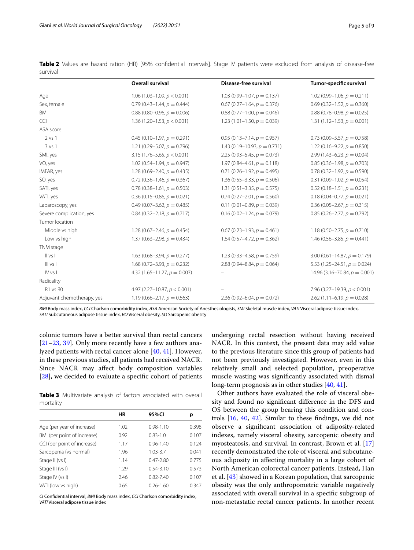<span id="page-4-0"></span>

|          |  |  |  |  |  |  |  |  | Table 2 Values are hazard ration (HR) [95% confidential intervals]. Stage IV patients were excluded from analysis of disease-free |
|----------|--|--|--|--|--|--|--|--|-----------------------------------------------------------------------------------------------------------------------------------|
| survival |  |  |  |  |  |  |  |  |                                                                                                                                   |

|                            | <b>Overall survival</b>          | Disease-free survival            | Tumor-specific survival          |
|----------------------------|----------------------------------|----------------------------------|----------------------------------|
| Age                        | $1.06(1.03 - 1.09, p < 0.001)$   | $1.03(0.99-1.07, p = 0.137)$     | $1.02(0.99-1.06, p = 0.211)$     |
| Sex, female                | $0.79(0.43 - 1.44, p = 0.444)$   | $0.67(0.27-1.64, p = 0.376)$     | $0.69(0.32-1.52, p = 0.360)$     |
| <b>BMI</b>                 | $0.88(0.80-0.96, p = 0.006)$     | $0.88(0.77-1.00, p = 0.046)$     | $0.88(0.78-0.98, p = 0.025)$     |
| <b>CCI</b>                 | 1.36 (1.20–1.53, $p < 0.001$ )   | 1.23 $(1.01-1.50, p = 0.039)$    | 1.31 $(1.12 - 1.53, p = 0.001)$  |
| ASA score                  |                                  |                                  |                                  |
| $2$ vs $1$                 | $0.45(0.10-1.97, p = 0.291)$     | $0.95(0.13 - 7.14, p = 0.957)$   | $0.73(0.09 - 5.57, p = 0.758)$   |
| 3 v s 1                    | $1.21(0.29 - 5.07, p = 0.796)$   | 1.43 $(0.19 - 10.93, p = 0.731)$ | 1.22 $(0.16 - 9.22, p = 0.850)$  |
| SMI, yes                   | 3.15 $(1.76 - 5.65, p < 0.001)$  | 2.25 $(0.93 - 5.45, p = 0.073)$  | $2.99(1.43-6.23, p = 0.004)$     |
| VO, yes                    | $1.02(0.54-1.94, p = 0.947)$     | $1.97(0.84 - 4.61, p = 0.118)$   | $0.85(0.36-1.98, p = 0.703)$     |
| IMFAR, yes                 | $1.28(0.69 - 2.40, p = 0.435)$   | $0.71(0.26-1.92, p = 0.495)$     | $0.78(0.32-1.92, p = 0.590)$     |
| SO, yes                    | $0.72(0.36-1.46, p = 0.367)$     | 1.36 $(0.55-3.33, p = 0.506)$    | $0.31(0.09-1.02, p = 0.054)$     |
| SATI, yes                  | $0.78(0.38-1.61, p = 0.503)$     | $1.31(0.51-3.35, p = 0.575)$     | $0.52(0.18-1.51, p = 0.231)$     |
| VATI, yes                  | $0.36(0.15-0.86, p = 0.021)$     | $0.74(0.27-2.01, p = 0.560)$     | $0.18(0.04 - 0.77, p = 0.021)$   |
| Laparoscopy, yes           | $0.49(0.07 - 3.62, p = 0.485)$   | $0.11(0.01 - 0.89, p = 0.039)$   | $0.36(0.05 - 2.67, p = 0.315)$   |
| Severe complication, yes   | $0.84(0.32 - 2.18, p = 0.717)$   | $0.16(0.02-1.24, p = 0.079)$     | $0.85(0.26-2.77, p = 0.792)$     |
| Tumor location             |                                  |                                  |                                  |
| Middle vs high             | $1.28(0.67 - 2.46, p = 0.454)$   | $0.67(0.23-1.93, p = 0.461)$     | $1.18(0.50-2.75, p = 0.710)$     |
| Low vs high                | 1.37 $(0.63 - 2.98, p = 0.434)$  | 1.64 $(0.57-4.72, p = 0.362)$    | 1.46 $(0.56 - 3.85, p = 0.441)$  |
| TNM stage                  |                                  |                                  |                                  |
| $\parallel$ vs $\parallel$ | $1.63(0.68-3.94, p = 0.277)$     | $1.23(0.33-4.58, p = 0.759)$     | $3.00(0.61 - 14.87, p = 0.179)$  |
| III vs I                   | $1.68(0.72 - 3.93, p = 0.232)$   | $2.88(0.94 - 8.84, p = 0.064)$   | 5.53 $(1.25 - 24.51, p = 0.024)$ |
| IV vs I                    | 4.32 $(1.65 - 11.27, p = 0.003)$ |                                  | 14.96 (3.16-70.84, $p = 0.001$ ) |
| Radicality                 |                                  |                                  |                                  |
| R1 vs R0                   | 4.97 (2.27-10.87, $p < 0.001$ )  |                                  | 7.96 (3.27-19.39, $p < 0.001$ )  |
| Adjuvant chemotherapy, yes | 1.19 $(0.66 - 2.17, p = 0.563)$  | $2.36(0.92 - 6.04, p = 0.072)$   | $2.62(1.11-6.19, p = 0.028)$     |

*BMI* Body mass index, *CCI* Charlson comorbidity index, *ASA* American Society of Anesthesiologists, *SMI* Skeletal muscle index, *VATI* Visceral adipose tissue index, *SATI* Subcutaneous adipose tissue index, *VO* Visceral obesity, *SO* Sarcopenic obesity

colonic tumors have a better survival than rectal cancers [[21–](#page-7-10)[23](#page-7-23), [39\]](#page-7-24). Only more recently have a few authors analyzed patients with rectal cancer alone [[40](#page-7-25), [41](#page-7-26)]. However, in these previous studies, all patients had received NACR. Since NACR may afect body composition variables [[28\]](#page-7-14), we decided to evaluate a specific cohort of patients

<span id="page-4-1"></span>**Table 3** Multivariate analysis of factors associated with overall mortality

|                             | HR   | 95%CI         | р     |
|-----------------------------|------|---------------|-------|
| Age (per year of increase)  | 1.02 | $0.98 - 1.10$ | 0.398 |
| BMI (per point of increase) | 0.92 | $0.83 - 1.0$  | 0.107 |
| CCI (per point of increase) | 1.17 | $0.96 - 1.40$ | 0.124 |
| Sarcopenia (vs normal)      | 1.96 | $1.03 - 3.7$  | 0.041 |
| Stage II (vs I)             | 1.14 | $0.47 - 2.80$ | 0.775 |
| Stage III (vs I)            | 1.29 | $0.54 - 3.10$ | 0.573 |
| Stage IV (vs I)             | 2.46 | $0.82 - 7.40$ | 0.107 |
| VATI (low vs high)          | 0.65 | $0.26 - 1.60$ | 0.347 |
|                             |      |               |       |

*CI* Confdential interval, *BMI* Body mass index, *CCI* Charlson comorbidity index, *VATI* Visceral adipose tissue index

undergoing rectal resection without having received NACR. In this context, the present data may add value to the previous literature since this group of patients had not been previously investigated. However, even in this relatively small and selected population, preoperative muscle wasting was signifcantly associated with dismal long-term prognosis as in other studies [[40,](#page-7-25) [41](#page-7-26)].

Other authors have evaluated the role of visceral obesity and found no signifcant diference in the DFS and OS between the group bearing this condition and controls [\[16](#page-7-27), [40](#page-7-25), [42](#page-7-28)]. Similar to these fndings, we did not observe a signifcant association of adiposity-related indexes, namely visceral obesity, sarcopenic obesity and myosteatosis, and survival. In contrast, Brown et al. [[17](#page-7-6)] recently demonstrated the role of visceral and subcutaneous adiposity in afecting mortality in a large cohort of North American colorectal cancer patients. Instead, Han et al. [\[43](#page-7-29)] showed in a Korean population, that sarcopenic obesity was the only anthropometric variable negatively associated with overall survival in a specifc subgroup of non-metastatic rectal cancer patients. In another recent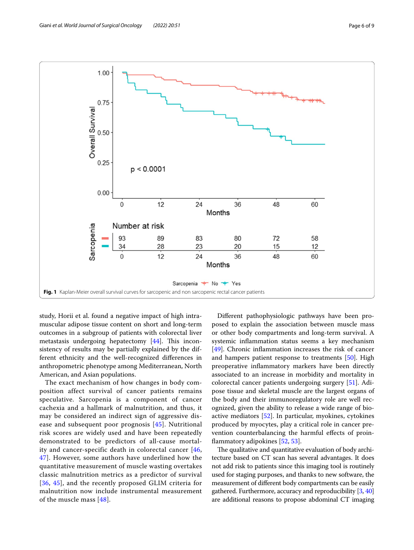

<span id="page-5-0"></span>study, Horii et al. found a negative impact of high intramuscular adipose tissue content on short and long-term outcomes in a subgroup of patients with colorectal liver metastasis undergoing hepatectomy  $[44]$  $[44]$  $[44]$ . This inconsistency of results may be partially explained by the different ethnicity and the well-recognized diferences in anthropometric phenotype among Mediterranean, North American, and Asian populations.

The exact mechanism of how changes in body composition affect survival of cancer patients remains speculative. Sarcopenia is a component of cancer cachexia and a hallmark of malnutrition, and thus, it may be considered an indirect sign of aggressive disease and subsequent poor prognosis [[45](#page-7-31)]. Nutritional risk scores are widely used and have been repeatedly demonstrated to be predictors of all-cause mortality and cancer-specific death in colorectal cancer [[46](#page-7-32), [47\]](#page-7-33). However, some authors have underlined how the quantitative measurement of muscle wasting overtakes classic malnutrition metrics as a predictor of survival [[36](#page-7-34), [45\]](#page-7-31), and the recently proposed GLIM criteria for malnutrition now include instrumental measurement of the muscle mass [\[48\]](#page-8-0).

Diferent pathophysiologic pathways have been proposed to explain the association between muscle mass or other body compartments and long-term survival. A systemic infammation status seems a key mechanism [[49\]](#page-8-1). Chronic inflammation increases the risk of cancer and hampers patient response to treatments [\[50](#page-8-2)]. High preoperative infammatory markers have been directly associated to an increase in morbidity and mortality in colorectal cancer patients undergoing surgery [[51](#page-8-3)]. Adipose tissue and skeletal muscle are the largest organs of the body and their immunoregulatory role are well recognized, given the ability to release a wide range of bioactive mediators [\[52](#page-8-4)]. In particular, myokines, cytokines produced by myocytes, play a critical role in cancer prevention counterbalancing the harmful efects of proinfammatory adipokines [\[52](#page-8-4), [53\]](#page-8-5).

The qualitative and quantitative evaluation of body architecture based on CT scan has several advantages. It does not add risk to patients since this imaging tool is routinely used for staging purposes, and thanks to new software, the measurement of diferent body compartments can be easily gathered. Furthermore, accuracy and reproducibility [[3,](#page-6-2) [40](#page-7-25)] are additional reasons to propose abdominal CT imaging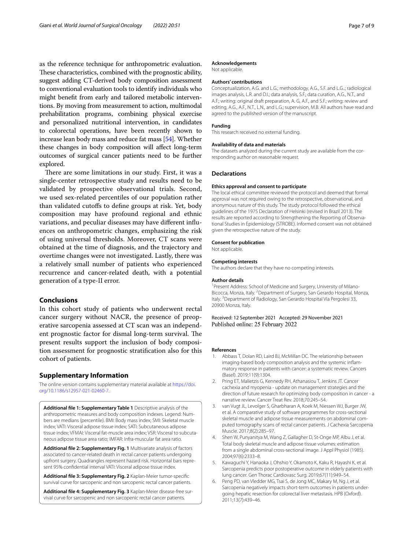as the reference technique for anthropometric evaluation. These characteristics, combined with the prognostic ability, suggest adding CT-derived body composition assessment to conventional evaluation tools to identify individuals who might beneft from early and tailored metabolic interventions. By moving from measurement to action, multimodal prehabilitation programs, combining physical exercise and personalized nutritional intervention, in candidates to colorectal operations, have been recently shown to increase lean body mass and reduce fat mass [[54](#page-8-6)]. Whether these changes in body composition will afect long-term outcomes of surgical cancer patients need to be further explored.

There are some limitations in our study. First, it was a single-center retrospective study and results need to be validated by prospective observational trials. Second, we used sex-related percentiles of our population rather than validated cutoffs to define groups at risk. Yet, body composition may have profound regional and ethnic variations, and peculiar diseases may have diferent infuences on anthropometric changes, emphasizing the risk of using universal thresholds. Moreover, CT scans were obtained at the time of diagnosis, and the trajectory and overtime changes were not investigated. Lastly, there was a relatively small number of patients who experienced recurrence and cancer-related death, with a potential generation of a type-II error.

## **Conclusions**

In this cohort study of patients who underwent rectal cancer surgery without NACR, the presence of preoperative sarcopenia assessed at CT scan was an independent prognostic factor for dismal long-term survival. The present results support the inclusion of body composition assessment for prognostic stratifcation also for this cohort of patients.

## **Supplementary Information**

The online version contains supplementary material available at [https://doi.](https://doi.org/10.1186/s12957-021-02460-7) [org/10.1186/s12957-021-02460-7](https://doi.org/10.1186/s12957-021-02460-7).

<span id="page-6-6"></span>**Additional fle 1: Supplementary Table 1** Descriptive analysis of the anthropometric measures and body composition indexes. Legend: Numbers are medians (percentile). BMI: Body mass index; SMI: Skeletal muscle index; VATI: Visceral adipose tissue index; SATI: Subcutaneous adipose tissue index; VFMAI: Visceral fat-muscle area index; VSR: Visceral to subcutaneous adipose tissue area ratio; IMFAR: Infra-muscular fat area ratio.

<span id="page-6-7"></span>**Additional fle 2: Supplementary Fig. 1** Multivariate analysis of factors associated to cancer-related death in rectal cancer patients undergoing upfront surgery. Quadrangles represent hazard risk. Horizontal bars represent 95% confdential interval VATI: Visceral adipose tissue index.

<span id="page-6-9"></span><span id="page-6-8"></span>**Additional fle 3: Supplementary Fig. 2** Kaplan-Meier tumor-specifc survival curve for sarcopenic and non sarcopenic rectal cancer patients.

**Additional fle 4: Supplementary Fig. 3** Kaplan-Meier disease-free survival curve for sarcopenic and non sarcopenic rectal cancer patients.

#### **Acknowledgements**

Not applicable.

#### **Authors' contributions**

Conceptualization, A.G. and L.G.; methodology, A.G., S.F. and L.G..; radiological images analysis, L.R. and D.I.; data analysis, S.F.; data curation, A.G., N.T., and A.F.; writing: original draft preparation, A. G, A.F., and S.F.; writing: review and editing, A.G., A.F., N.T., L.N., and L.G.; supervision, M.B. All authors have read and agreed to the published version of the manuscript.

#### **Funding**

This research received no external funding.

#### **Availability of data and materials**

The datasets analyzed during the current study are available from the corresponding author on reasonable request.

#### **Declarations**

#### **Ethics approval and consent to participate**

The local ethical committee reviewed the protocol and deemed that formal approval was not required owing to the retrospective, observational, and anonymous nature of this study. The study protocol followed the ethical guidelines of the 1975 Declaration of Helsinki (revised in Brazil 2013). The results are reported according to Strengthening the Reporting of Observational Studies in Epidemiology (STROBE). Informed consent was not obtained given the retrospective nature of the study.

#### **Consent for publication**

Not applicable.

#### **Competing interests**

The authors declare that they have no competing interests.

#### **Author details**

<sup>1</sup> Present Address: School of Medicine and Surgery, University of Milano-Bicocca, Monza, Italy. <sup>2</sup> Department of Surgery, San Gerardo Hospital, Monza, Italy. <sup>3</sup> Department of Radiology, San Gerardo Hospital Via Pergolesi 33, 20900 Monza, Italy.

Received: 12 September 2021 Accepted: 29 November 2021 Published online: 25 February 2022

#### **References**

- <span id="page-6-0"></span>1. Abbass T, Dolan RD, Laird BJ, McMillan DC. The relationship between imaging-based body composition analysis and the systemic infammatory response in patients with cancer: a systematic review. Cancers (Basel). 2019;11(9):1304.
- <span id="page-6-1"></span>2. Pring ET, Malietzis G, Kennedy RH, Athanasiou T, Jenkins JT. Cancer cachexia and myopenia - update on management strategies and the direction of future research for optimizing body composition in cancer - a narrative review. Cancer Treat Rev. 2018;70:245–54.
- <span id="page-6-2"></span>3. van Vugt JL, Levolger S, Gharbharan A, Koek M, Niessen WJ, Burger JW, et al. A comparative study of software programmes for cross-sectional skeletal muscle and adipose tissue measurements on abdominal computed tomography scans of rectal cancer patients. J Cachexia Sarcopenia Muscle. 2017;8(2):285–97.
- <span id="page-6-3"></span>4. Shen W, Punyanitya M, Wang Z, Gallagher D, St-Onge MP, Albu J, et al. Total body skeletal muscle and adipose tissue volumes: estimation from a single abdominal cross-sectional image. J Appl Physiol (1985). 2004;97(6):2333–8.
- <span id="page-6-4"></span>5. Kawaguchi Y, Hanaoka J, Ohshio Y, Okamoto K, Kaku R, Hayashi K, et al. Sarcopenia predicts poor postoperative outcome in elderly patients with lung cancer. Gen Thorac Cardiovasc Surg. 2019;67(11):949–54.
- <span id="page-6-5"></span>6. Peng PD, van Vledder MG, Tsai S, de Jong MC, Makary M, Ng J, et al. Sarcopenia negatively impacts short-term outcomes in patients undergoing hepatic resection for colorectal liver metastasis. HPB (Oxford). 2011;13(7):439–46.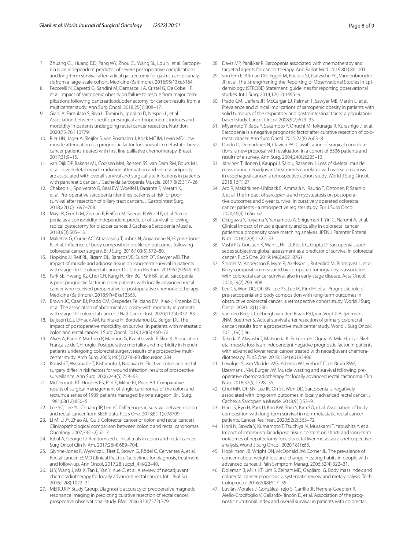- <span id="page-7-0"></span>7. Zhuang CL, Huang DD, Pang WY, Zhou CJ, Wang SL, Lou N, et al. Sarcopenia is an independent predictor of severe postoperative complications and long-term survival after radical gastrectomy for gastric cancer: analysis from a large-scale cohort. Medicine (Baltimore). 2016;95(13):e3164.
- <span id="page-7-1"></span>8. Pecorelli N, Capretti G, Sandini M, Damascelli A, Cristel G, De Cobelli F, et al. Impact of sarcopenic obesity on failure to rescue from major complications following pancreaticoduodenectomy for cancer: results from a multicenter study. Ann Surg Oncol. 2018;25(1):308–17.
- <span id="page-7-2"></span>Giani A, Famularo S, Riva L, Tamini N, Ippolito D, Nespoli L, et al. Association between specifc presurgical anthropometric indexes and morbidity in patients undergoing rectal cancer resection. Nutrition. 2020;75-76:110779.
- <span id="page-7-3"></span>10. Rier HN, Jager A, Sleijfer S, van Rosmalen J, Kock MCJM, Levin MD. Low muscle attenuation is a prognostic factor for survival in metastatic breast cancer patients treated with frst line palliative chemotherapy. Breast. 2017;31:9–15.
- 11. van Dijk DP, Bakens MJ, Coolsen MM, Rensen SS, van Dam RM, Bours MJ, et al. Low skeletal muscle radiation attenuation and visceral adiposity are associated with overall survival and surgical site infections in patients with pancreatic cancer. J Cachexia Sarcopenia Muscle. 2017;8(2):317–26.
- 12. Chakedis J, Spolverato G, Beal EW, Woelfel I, Bagante F, Merath K, et al. Pre-operative sarcopenia identifes patients at risk for poor survival after resection of biliary tract cancers. J Gastrointest Surg. 2018;22(10):1697–708.
- <span id="page-7-4"></span>13. Mayr R, Gierth M, Zeman F, Reifen M, Seeger P, Wezel F, et al. Sarcopenia as a comorbidity-independent predictor of survival following radical cystectomy for bladder cancer. J Cachexia Sarcopenia Muscle. 2018;9(3):505–13.
- <span id="page-7-5"></span>14. Malietzis G, Currie AC, Athanasiou T, Johns N, Anyamene N, Glynne-Jones R, et al. Infuence of body composition profle on outcomes following colorectal cancer surgery. Br J Surg. 2016;103(5):572–80.
- <span id="page-7-20"></span>15. Hopkins JJ, Reif RL, Bigam DL, Baracos VE, Eurich DT, Sawyer MB. The impact of muscle and adipose tissue on long-term survival in patients with stage I to III colorectal cancer. Dis Colon Rectum. 2019;62(5):549–60.
- <span id="page-7-27"></span>16. Park SE, Hwang IG, Choi CH, Kang H, Kim BG, Park BK, et al. Sarcopenia is poor prognostic factor in older patients with locally advanced rectal cancer who received preoperative or postoperative chemoradiotherapy. Medicine (Baltimore). 2018;97(48):e13363.
- <span id="page-7-6"></span>17. Brown JC, Caan BJ, Prado CM, Cespedes Feliciano EM, Xiao J, Kroenke CH, et al. The association of abdominal adiposity with mortality in patients with stage I-III colorectal cancer. J Natl Cancer Inst. 2020;112(4):377–83.
- <span id="page-7-7"></span>18. Leijssen LGJ, Dinaux AM, Kunitake H, Bordeianou LG, Berger DL. The impact of postoperative morbidity on survival in patients with metastatic colon and rectal cancer. J Surg Oncol. 2019;120(3):460–72.
- <span id="page-7-8"></span>19. Alves A, Panis Y, Mathieu P, Mantion G, Kwiatkowski F, Slim K. Association Française de Chirurgie. Postoperative mortality and morbidity in French patients undergoing colorectal surgery: results of a prospective multicenter study. Arch Surg. 2005;140(3):278–83 discussion 284.
- <span id="page-7-9"></span>20. Konishi T, Watanabe T, Kishimoto J, Nagawa H. Elective colon and rectal surgery difer in risk factors for wound infection: results of prospective surveillance. Ann Surg. 2006;244(5):758–63.
- <span id="page-7-10"></span>21. McDermott FT, Hughes ES, Pihl E, Milne BJ, Price AB. Comparative results of surgical management of single carcinomas of the colon and rectum: a series of 1939 patients managed by one surgeon. Br J Surg. 1981;68(12):850–5.
- 22. Lee YC, Lee YL, Chuang JP, Lee JC. Diferences in survival between colon and rectal cancer from SEER data. PLoS One. 2013;8(11):e78709.
- <span id="page-7-23"></span>23. Li M, Li JY, Zhao AL, Gu J. Colorectal cancer or colon and rectal cancer? Clinicopathological comparison between colonic and rectal carcinomas. Oncology. 2007;73(1-2):52–7.
- <span id="page-7-11"></span>24. Iqbal A, George TJ. Randomized clinical trials in colon and rectal cancer. Surg Oncol Clin N Am. 2017;26(4):689–704.
- <span id="page-7-12"></span>25. Glynne-Jones R, Wyrwicz L, Tiret E, Brown G, Rödel C, Cervantes A, et al. Rectal cancer: ESMO Clinical Practice Guidelines for diagnosis, treatment and follow-up. Ann Oncol. 2017;28(suppl\_4):iv22–40.
- 26. Li Y, Wang J, Ma X, Tan L, Yan Y, Xue C, et al. A review of neoadjuvant chemoradiotherapy for locally advanced rectal cancer. Int J Biol Sci. 2016;12(8):1022–31.
- <span id="page-7-13"></span>27. MERCURY Study Group. Diagnostic accuracy of preoperative magnetic resonance imaging in predicting curative resection of rectal cancer: prospective observational study. BMJ. 2006;333(7572):779.
- <span id="page-7-14"></span>28. Davis MP, Panikkar R. Sarcopenia associated with chemotherapy and targeted agents for cancer therapy. Ann Palliat Med. 2019;8(1):86–101.
- <span id="page-7-15"></span>29. von Elm E, Altman DG, Egger M, Pocock SJ, Gøtzsche PC, Vandenbroucke JP, et al. The Strengthening the Reporting of Observational Studies in Epidemiology (STROBE) Statement: guidelines for reporting observational studies. Int J Surg. 2014;12(12):1495–9.
- <span id="page-7-16"></span>30. Prado CM, Liefers JR, McCargar LJ, Reiman T, Sawyer MB, Martin L, et al. Prevalence and clinical implications of sarcopenic obesity in patients with solid tumours of the respiratory and gastrointestinal tracts: a populationbased study. Lancet Oncol. 2008;9(7):629–35.
- <span id="page-7-17"></span>31. Miyamoto Y, Baba Y, Sakamoto Y, Ohuchi M, Tokunaga R, Kurashige J, et al. Sarcopenia is a negative prognostic factor after curative resection of colorectal cancer. Ann Surg Oncol. 2015;22(8):2663–8.
- <span id="page-7-18"></span>32. Dindo D, Demartines N, Clavien PA. Classifcation of surgical complications: a new proposal with evaluation in a cohort of 6336 patients and results of a survey. Ann Surg. 2004;240(2):205–13.
- <span id="page-7-19"></span>33. Järvinen T, Ilonen I, Kauppi J, Salo J, Räsänen J. Loss of skeletal muscle mass during neoadjuvant treatments correlates with worse prognosis in esophageal cancer: a retrospective cohort study. World J Surg Oncol. 2018;16(1):27.
- <span id="page-7-21"></span>34. Aro R, Mäkäräinen-Uhlbäck E, Ämmälä N, Rautio T, Ohtonen P, Saarnio J, et al. The impact of sarcopenia and myosteatosis on postoperative outcomes and 5-year survival in curatively operated colorectal cancer patients - a retrospective register study. Eur J Surg Oncol. 2020;46(9):1656–62.
- 35. Okugawa Y, Toiyama Y, Yamamoto A, Shigemori T, Yin C, Narumi A, et al. Clinical impact of muscle quantity and quality in colorectal cancer patients: a propensity score matching analysis. JPEN J Parenter Enteral Nutr. 2018;42(8):1322–33.
- <span id="page-7-34"></span>36. Vashi PG, Gorsuch K, Wan L, Hill D, Block C, Gupta D. Sarcopenia supersedes subjective global assessment as a predictor of survival in colorectal cancer. PLoS One. 2019;14(6):e0218761.
- 37. Shirdel M, Andersson F, Myte R, Axelsson J, Rutegård M, Blomqvist L, et al. Body composition measured by computed tomography is associated with colorectal cancer survival, also in early-stage disease. Acta Oncol. 2020;59(7):799–808.
- <span id="page-7-22"></span>38. Lee CS, Won DD, Oh SN, Lee YS, Lee IK, Kim IH, et al. Prognostic role of pre-sarcopenia and body composition with long-term outcomes in obstructive colorectal cancer: a retrospective cohort study. World J Surg Oncol. 2020;18(1):230.
- <span id="page-7-24"></span>39. van den Berg I, Coebergh van den Braak RRJ, van Vugt JLA, Ijzermans JNM, Buettner S. Actual survival after resection of primary colorectal cancer: results from a prospective multicenter study. World J Surg Oncol. 2021;19(1):96.
- <span id="page-7-25"></span>40. Takeda Y, Akiyoshi T, Matsueda K, Fukuoka H, Ogura A, Miki H, et al. Skeletal muscle loss is an independent negative prognostic factor in patients with advanced lower rectal cancer treated with neoadjuvant chemoradiotherapy. PLoS One. 2018;13(4):e0195406.
- <span id="page-7-26"></span>41. Levolger S, van Vledder MG, Alberda WJ, Verhoef C, de Bruin RWF, IJzermans JNM, Burger JW. Muscle wasting and survival following preoperative chemoradiotherapy for locally advanced rectal carcinoma. Clin Nutr. 2018;37(5):1728–35.
- <span id="page-7-28"></span>42. Choi MH, Oh SN, Lee IK, Oh ST, Won DD. Sarcopenia is negatively associated with long-term outcomes in locally advanced rectal cancer. J Cachexia Sarcopenia Muscle. 2018;9(1):53–9.
- <span id="page-7-29"></span>43. Han JS, Ryu H, Park IJ, Kim KW, Shin Y, Kim SO, et al. Association of body composition with long-term survival in non-metastatic rectal cancer patients. Cancer Res Treat. 2020;52(2):563–72.
- <span id="page-7-30"></span>44. Horii N, Sawda Y, Kumamoto T, Tsuchiya N, Murakami T, Yabushita Y, et al. Impact of intramuscular adipose tissue content on short- and long-term outcomes of hepatectomy for colorectal liver metastasis: a retrospective analysis. World J Surg Oncol. 2020;18(1):68.
- <span id="page-7-31"></span>45. Hopkinson JB, Wright DN, McDonald JW, Corner JL. The prevalence of concern about weight loss and change in eating habits in people with advanced cancer. J Pain Symptom Manag. 2006;32(4):322–31.
- <span id="page-7-32"></span>46. Doleman B, Mills KT, Lim S, Zelhart MD, Gagliardi G. Body mass index and colorectal cancer prognosis: a systematic review and meta-analysis. Tech Coloproctol. 2016;20(8):517–35.
- <span id="page-7-33"></span>47. Luvián-Morales J, González-Trejo S, Carrillo JF, Herrera-Goepfert R, Aiello-Crocifoglio V, Gallardo-Rincón D, et al. Association of the prognostic nutritional index and overall survival in patients with colorectal